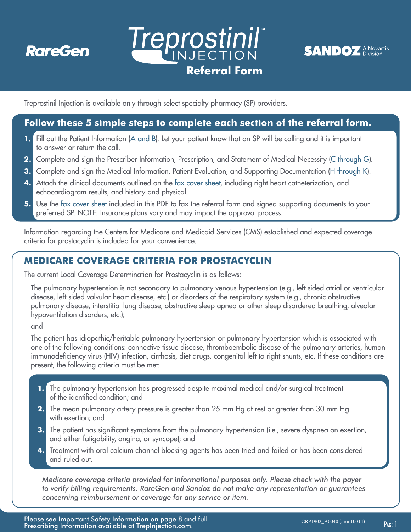

# **and prescription (steps 1-3), along with requested clinical Treprostinil" Referral Form**



Treprostinil Injection is available only through select specialty pharmacy (SP) providers.

# **Follow these 5 simple steps to complete each section of the referral form.**

- **1.** Fill out the Patient Information (A and B). Let your patient know that an SP will be calling and it is important to answer or return the call.
- **2.** Complete and sign the Prescriber Information, Prescription, and Statement of Medical Necessity (C through G).
- **3.** Complete and sign the Medical Information, Patient Evaluation, and Supporting Documentation (H through K).
- **4.** Attach the clinical documents outlined on the fax cover sheet, including right heart catheterization, and echocardiogram results, and history and physical.
- **5.** Use the fax cover sheet included in this PDF to fax the referral form and signed supporting documents to your preferred SP. NOTE: Insurance plans vary and may impact the approval process.

Information regarding the Centers for Medicare and Medicaid Services (CMS) established and expected coverage criteria for prostacyclin is included for your convenience.

# **MEDICARE COVERAGE CRITERIA FOR PROSTACYCLIN**

The current Local Coverage Determination for Prostacyclin is as follows:

The pulmonary hypertension is not secondary to pulmonary venous hypertension (e.g., left sided atrial or ventricular disease, left sided valvular heart disease, etc.) or disorders of the respiratory system (e.g., chronic obstructive pulmonary disease, interstitial lung disease, obstructive sleep apnea or other sleep disordered breathing, alveolar hypoventilation disorders, etc.);

and

The patient has idiopathic/heritable pulmonary hypertension or pulmonary hypertension which is associated with one of the following conditions: connective tissue disease, thromboembolic disease of the pulmonary arteries, human immunodeficiency virus (HIV) infection, cirrhosis, diet drugs, congenital left to right shunts, etc. If these conditions are present, the following criteria must be met:

- **1.** The pulmonary hypertension has progressed despite maximal medical and/or surgical treatment of the identified condition; and
- **2.** The mean pulmonary artery pressure is greater than 25 mm Hg at rest or greater than 30 mm Hg with exertion; and
- **3.** The patient has significant symptoms from the pulmonary hypertension (i.e., severe dyspnea on exertion, and either fatigability, angina, or syncope); and
- **4.** Treatment with oral calcium channel blocking agents has been tried and failed or has been considered and ruled out.

*Medicare coverage criteria provided for informational purposes only. Please check with the payer to verify billing requirements. RareGen and Sandoz do not make any representation or guarantees concerning reimbursement or coverage for any service or item.*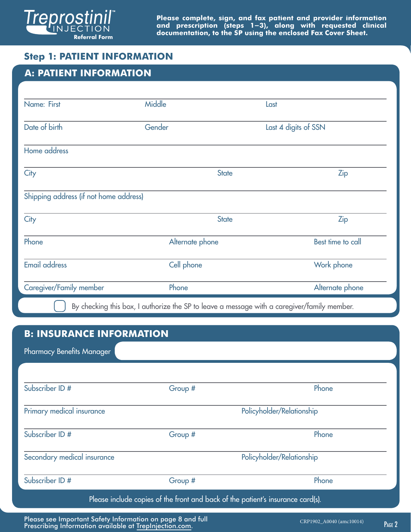

# **Step 1: PATIENT INFORMATION**

| <b>A: PATIENT INFORMATION</b>          |                 |                      |
|----------------------------------------|-----------------|----------------------|
|                                        |                 |                      |
| Name: First                            | Middle          | Last                 |
| Date of birth                          | Gender          | Last 4 digits of SSN |
| Home address                           |                 |                      |
| City                                   | <b>State</b>    | <b>Zip</b>           |
| Shipping address (if not home address) |                 |                      |
| City                                   | <b>State</b>    | <b>Zip</b>           |
| Phone                                  | Alternate phone | Best time to call    |
| <b>Email address</b>                   | Cell phone      | Work phone           |
| Caregiver/Family member                | Phone           | Alternate phone      |

# **B: INSURANCE INFORMATION**

Pharmacy Benefits Manager

| Subscriber ID #             | Group #                   | Phone                     |
|-----------------------------|---------------------------|---------------------------|
| Primary medical insurance   |                           | Policyholder/Relationship |
| Subscriber ID #             | Group #                   | Phone                     |
| Secondary medical insurance | Policyholder/Relationship |                           |
| Subscriber ID #             | Group #                   | Phone                     |

Please see Important Safety Information on page 8 and full Prescribing Information available at [TrepInjection.com.](https://trepinjection.com/)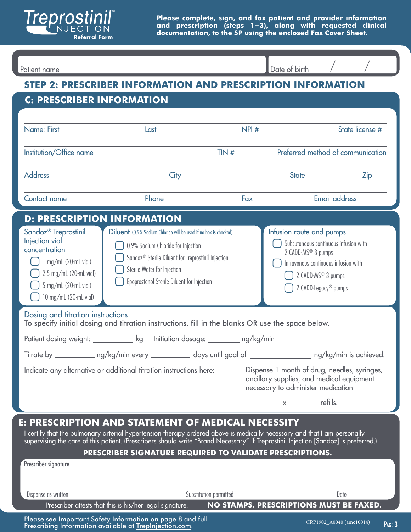

Patient name and the contract of the contract of the contract of birth and  $\sim$  /  $\sim$  /  $\sim$  /  $\sim$  /  $\sim$  /  $\sim$  /  $\sim$  /  $\sim$  /  $\sim$  /  $\sim$  /  $\sim$  /  $\sim$  /  $\sim$  /  $\sim$  /  $\sim$  /  $\sim$  /  $\sim$  /  $\sim$  /  $\sim$  /  $\sim$  /  $\sim$  / Date of birth **STEP 2: PRESCRIBER INFORMATION AND PRESCRIPTION INFORMATION C: PRESCRIBER INFORMATION**  Name: First Contract Contract Last Last Last Contract Contract NPI # State license # Institution/Office name TIN # Preferred method of communication  $\left| \cdot \right|$ Address City State Zip Contact name Phone Fax Email address **D: PRESCRIPTION INFORMATION**  Sandoz® Treprostinil Diluent (0.9% Sodium Chloride will be used if no box is checked) **Infusion route and pumps** Injection vial Subcutaneous continuous infusion with 0.9% Sodium Chloride for Injection concentration 2 CADD-MS<sup>®</sup> 3 pumps Sandoz® Sterile Diluent for Treprostinil Injection  $\left( \quad \right)$  1 mg/mL (20-mL vial) Intravenous continuous infusion with Sterile Water for Injection  $\bigcap$  2.5 mg/mL (20-mL vial)  $\Box$  2 CADD-MS<sup>®</sup> 3 pumps Epoprostenol Sterile Diluent for Injection  $\bigcap$  5 mg/mL (20-mL vial)  $\bigcap$  2 CADD-Legacy® pumps  $\bigcup$  10 mg/mL (20-mL vial) Dosing and titration instructions To specify initial dosing and titration instructions, fill in the blanks OR use the space below. Patient dosing weight: <u>\_\_\_\_\_\_\_\_\_\_\_\_</u> kg lnitiation dosage: \_\_\_\_\_\_\_\_ ng/kg/min Titrate by \_\_\_\_\_\_\_\_\_\_\_ ng/kg/min every \_\_\_\_\_\_\_\_\_\_\_ days until goal of \_\_\_\_\_\_\_\_\_\_ ng/kg/min is achieved. Indicate any alternative or additional titration instructions here: Figure 1 month of drug, needles, syringes, ancillary supplies, and medical equipment necessary to administer medication x refills. **E: PRESCRIPTION AND STATEMENT OF MEDICAL NECESSITY**  I certify that the pulmonary arterial hypertension therapy ordered above is medically necessary and that I am personally supervising the care of this patient. (Prescribers should write "Brand Necessary" if Treprostinil Injection [Sandoz] is preferred.) **PRESCRIBER SIGNATURE REQUIRED TO VALIDATE PRESCRIPTIONS.**  Prescriber signature Dispense as written Substitution permitted Date Prescriber attests that this is his/her legal signature. **NO STAMPS. PRESCRIPTIONS MUST BE FAXED.** 

Please see Important Safety Information on page 8 and full Prescribing Information available at [TrepInjection.com.](https://trepinjection.com/)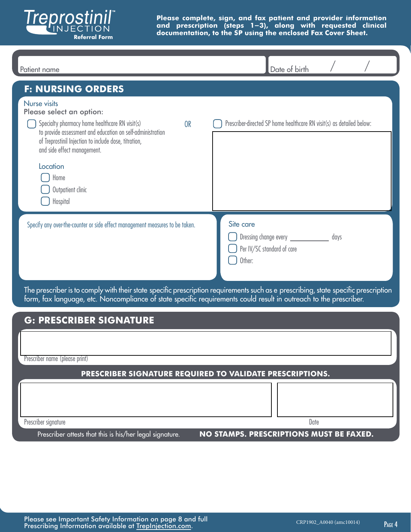

| Patient name                                                                                                                                                                                                                                                                                                              | Date of birth                                                                                                                      |
|---------------------------------------------------------------------------------------------------------------------------------------------------------------------------------------------------------------------------------------------------------------------------------------------------------------------------|------------------------------------------------------------------------------------------------------------------------------------|
| <b>F: NURSING ORDERS</b>                                                                                                                                                                                                                                                                                                  |                                                                                                                                    |
| <b>Nurse visits</b><br>Please select an option:<br>Specialty pharmacy home healthcare RN visit(s)<br><b>OR</b><br>to provide assessment and education on self-administration<br>of Treprostinil Injection to include dose, titration,<br>and side effect management.<br>Location<br>Home<br>Outpatient clinic<br>Hospital | Prescriber-directed SP home healthcare RN visit(s) as detailed below:                                                              |
| Specify any over-the-counter or side effect management measures to be taken.                                                                                                                                                                                                                                              | Site care<br>Dressing change every ____________<br>days<br>Per IV/SC standard of care<br>Other:                                    |
| form, fax language, etc. Noncompliance of state specific requirements could result in outreach to the prescriber.                                                                                                                                                                                                         | The prescriber is to comply with their state specific prescription requirements such as e prescribing, state specific prescription |
| <b>G: PRESCRIBER SIGNATURE</b>                                                                                                                                                                                                                                                                                            |                                                                                                                                    |
| Prescriber name (please print)                                                                                                                                                                                                                                                                                            |                                                                                                                                    |
| PRESCRIBER SIGNATURE REQUIRED TO VALIDATE PRESCRIPTIONS.                                                                                                                                                                                                                                                                  |                                                                                                                                    |
| Prescriber signature                                                                                                                                                                                                                                                                                                      | Date                                                                                                                               |
| Prescriber attests that this is his/her legal signature.                                                                                                                                                                                                                                                                  | NO STAMPS. PRESCRIPTIONS MUST BE FAXED.                                                                                            |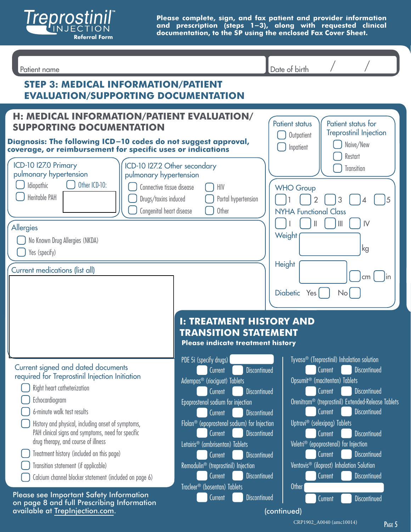

| Patient name                                                                                                                                                                                                                                                                                                                                                                                                                                                          |                                                                                                                                                                                                                                                                                                                                                                                                                                                                                                                              | Date of birth                                                                                                                                                                                                                                                                                                                                                                                                                                                                                                                                              |  |  |
|-----------------------------------------------------------------------------------------------------------------------------------------------------------------------------------------------------------------------------------------------------------------------------------------------------------------------------------------------------------------------------------------------------------------------------------------------------------------------|------------------------------------------------------------------------------------------------------------------------------------------------------------------------------------------------------------------------------------------------------------------------------------------------------------------------------------------------------------------------------------------------------------------------------------------------------------------------------------------------------------------------------|------------------------------------------------------------------------------------------------------------------------------------------------------------------------------------------------------------------------------------------------------------------------------------------------------------------------------------------------------------------------------------------------------------------------------------------------------------------------------------------------------------------------------------------------------------|--|--|
| <b>STEP 3: MEDICAL INFORMATION/PATIENT</b><br><b>EVALUATION/SUPPORTING DOCUMENTATION</b>                                                                                                                                                                                                                                                                                                                                                                              |                                                                                                                                                                                                                                                                                                                                                                                                                                                                                                                              |                                                                                                                                                                                                                                                                                                                                                                                                                                                                                                                                                            |  |  |
| H: MEDICAL INFORMATION/PATIENT EVALUATION/<br><b>SUPPORTING DOCUMENTATION</b><br>Diagnosis: The following ICD-10 codes do not suggest approval,<br>coverage, or reimbursement for specific uses or indications<br>ICD-10 I27.0 Primary<br>ICD-10 I27.2 Other secondary<br>pulmonary hypertension<br>pulmonary hypertension                                                                                                                                            |                                                                                                                                                                                                                                                                                                                                                                                                                                                                                                                              | <b>Patient status</b><br>Patient status for<br><b>Treprostinil Injection</b><br>Outpatient<br>Naive/New<br>Inpatient<br>Restart<br>Transition                                                                                                                                                                                                                                                                                                                                                                                                              |  |  |
| Other ICD-10:<br>Idiopathic<br>Connective tissue disease<br>Heritable PAH<br>Drugs/toxins induced<br>Congenital heart disease<br>Allergies<br>No Known Drug Allergies (NKDA)<br>Yes (specify)                                                                                                                                                                                                                                                                         | HIV<br>Portal hypertension<br>Other                                                                                                                                                                                                                                                                                                                                                                                                                                                                                          | <b>WHO Group</b><br>$\overline{2}$<br>3<br>5<br><b>NYHA Functional Class</b><br>$\mathsf{N}$<br>II<br>$\mathbb{I}$<br>Weight<br>ıkg                                                                                                                                                                                                                                                                                                                                                                                                                        |  |  |
| Current medications (list all)                                                                                                                                                                                                                                                                                                                                                                                                                                        | <b>I: TREATMENT HISTORY AND</b><br><b>TRANSITION STATEMENT</b><br>Please indicate treatment history                                                                                                                                                                                                                                                                                                                                                                                                                          | Height<br>cm <sub>2</sub><br>Diabetic Yes<br>No <sub>l</sub>                                                                                                                                                                                                                                                                                                                                                                                                                                                                                               |  |  |
| Current signed and dated documents<br>required for Treprostinil Injection Initiation<br>Right heart catheterization<br>Echocardiogram<br>6-minute walk test results<br>History and physical, including onset of symptoms,<br>PAH clinical signs and symptoms, need for specific<br>drug therapy, and course of illness<br>Treatment history (included on this page)<br>Transition statement (if applicable)<br>Calcium channel blocker statement (included on page 6) | PDE 5i (specify drugs)<br><b>Discontinued</b><br>Current<br>Adempas <sup>®</sup> (riociguat) Tablets<br><b>Discontinued</b><br>Current<br>Epoprostenol sodium for injection<br>Current<br><b>Discontinued</b><br>Flolan <sup>®</sup> (epoprostenol sodium) for Injection<br><b>Discontinued</b><br>Current<br>Letairis <sup>®</sup> (ambrisentan) Tablets<br>Current<br><b>Discontinued</b><br>Remodulin <sup>®</sup> (treprostinil) Injection<br>Current<br><b>Discontinued</b><br>Tracleer <sup>®</sup> (bosentan) Tablets | Tyvaso <sup>®</sup> (Treprostinil) Inhalation solution<br><b>Discontinued</b><br>Current<br>Opsumit <sup>®</sup> (macitentan) Tablets<br>Current<br><b>Discontinued</b><br>Orenitram <sup>®</sup> (treprostinil) Extended-Release Tablets<br><b>Discontinued</b><br>Current<br>Uptravi <sup>®</sup> (selexipag) Tablets<br>Current<br><b>Discontinued</b><br>Veletri <sup>®</sup> (epoprostenol) for Injection<br>Current<br><b>Discontinued</b><br>Ventavis <sup>®</sup> (iloprost) Inhalation Solution<br><b>Discontinued</b><br>Current<br><b>Other</b> |  |  |
| Please see Important Safety Information<br>on page 8 and full Prescribing Information<br>available at TrepInjection.com.                                                                                                                                                                                                                                                                                                                                              | Current<br><b>Discontinued</b>                                                                                                                                                                                                                                                                                                                                                                                                                                                                                               | <b>Discontinued</b><br>Current<br>(continued)                                                                                                                                                                                                                                                                                                                                                                                                                                                                                                              |  |  |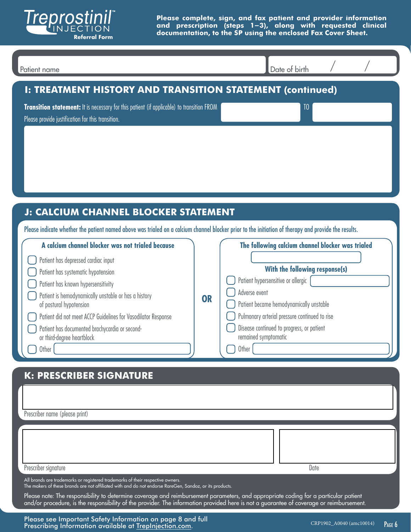

| I: TREATMENT HISTORY AND TRANSITION STATEMENT (continued)<br>Transition statement: It is necessary for this patient (if applicable) to transition FROM<br>TO<br>Please provide justification for this transition.<br>J: CALCIUM CHANNEL BLOCKER STATEMENT<br>Please indicate whether the patient named above was trialed on a calcium channel blocker prior to the initiation of therapy and provide the results.<br>A calcium channel blocker was not trialed because<br>The following calcium channel blocker was trialed<br>Patient has depressed cardiac input<br>With the following response(s)<br>Patient has systematic hypotension<br>Patient hypersensitive or allergic<br>Patient has known hypersensitivity<br>Adverse event<br>Patient is hemodynamically unstable or has a history<br>OR<br>Patient became hemodynamically unstable<br>of postural hypotension<br>Pulmonary arterial pressure continued to rise<br>Patient did not meet ACCP Guidelines for Vasodilator Response<br>Disease continued to progress, or patient<br>Patient has documented brachycardia or second-<br>remained symptomatic<br>or third-degree heartblock<br>$\bigcap$ Other $\big[$<br>$\bigcap$ Other<br><b>K: PRESCRIBER SIGNATURE</b> | Patient name | Date of birth |
|------------------------------------------------------------------------------------------------------------------------------------------------------------------------------------------------------------------------------------------------------------------------------------------------------------------------------------------------------------------------------------------------------------------------------------------------------------------------------------------------------------------------------------------------------------------------------------------------------------------------------------------------------------------------------------------------------------------------------------------------------------------------------------------------------------------------------------------------------------------------------------------------------------------------------------------------------------------------------------------------------------------------------------------------------------------------------------------------------------------------------------------------------------------------------------------------------------------------------------|--------------|---------------|
|                                                                                                                                                                                                                                                                                                                                                                                                                                                                                                                                                                                                                                                                                                                                                                                                                                                                                                                                                                                                                                                                                                                                                                                                                                    |              |               |
|                                                                                                                                                                                                                                                                                                                                                                                                                                                                                                                                                                                                                                                                                                                                                                                                                                                                                                                                                                                                                                                                                                                                                                                                                                    |              |               |
|                                                                                                                                                                                                                                                                                                                                                                                                                                                                                                                                                                                                                                                                                                                                                                                                                                                                                                                                                                                                                                                                                                                                                                                                                                    |              |               |
|                                                                                                                                                                                                                                                                                                                                                                                                                                                                                                                                                                                                                                                                                                                                                                                                                                                                                                                                                                                                                                                                                                                                                                                                                                    |              |               |
| Prescriber name (please print)                                                                                                                                                                                                                                                                                                                                                                                                                                                                                                                                                                                                                                                                                                                                                                                                                                                                                                                                                                                                                                                                                                                                                                                                     |              |               |
| Prescriber signature<br>Date<br>All brands are trademarks or registered trademarks of their respective owners.<br>The makers of these brands are not affiliated with and do not endorse RareGen, Sandoz, or its products.<br>Please note: The responsibility to determine coverage and reimbursement parameters, and appropriate coding for a particular patient                                                                                                                                                                                                                                                                                                                                                                                                                                                                                                                                                                                                                                                                                                                                                                                                                                                                   |              |               |

Please see Important Safety Information on page 8 and full Prescribing Information available at [TrepInjection.com.](https://trepinjection.com/)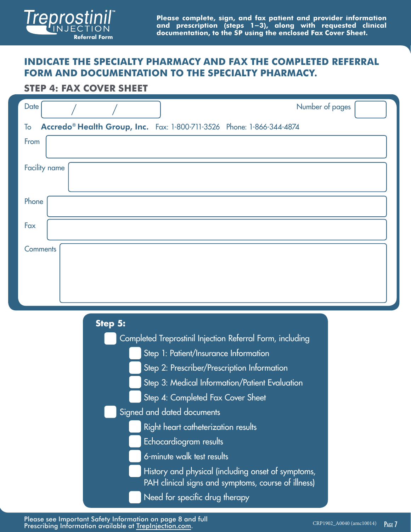

# **INDICATE THE SPECIALTY PHARMACY AND FAX THE COMPLETED REFERRAL FORM AND DOCUMENTATION TO THE SPECIALTY PHARMACY.**

### **STEP 4: FAX COVER SHEET**

| Date            |         | Number of pages                                                                                                                                   |
|-----------------|---------|---------------------------------------------------------------------------------------------------------------------------------------------------|
| To              |         | Accredo® Health Group, Inc. Fax: 1-800-711-3526 Phone: 1-866-344-4874                                                                             |
| From            |         |                                                                                                                                                   |
| Facility name   |         |                                                                                                                                                   |
| Phone           |         |                                                                                                                                                   |
| Fax             |         |                                                                                                                                                   |
| <b>Comments</b> |         |                                                                                                                                                   |
|                 |         |                                                                                                                                                   |
|                 | Step 5: | Completed Treprostinil Injection Referral Form, including<br>Step 1: Patient/Insurance Information<br>Step 2: Prescriber/Prescription Information |

- Step 3: Medical Information/Patient Evaluation
- Step 4: Completed Fax Cover Sheet
- Signed and dated documents
	- Right heart catheterization results
	- Echocardiogram results
	- 6-minute walk test results
	- History and physical (including onset of symptoms, PAH clinical signs and symptoms, course of illness)
	- Need for specific drug therapy